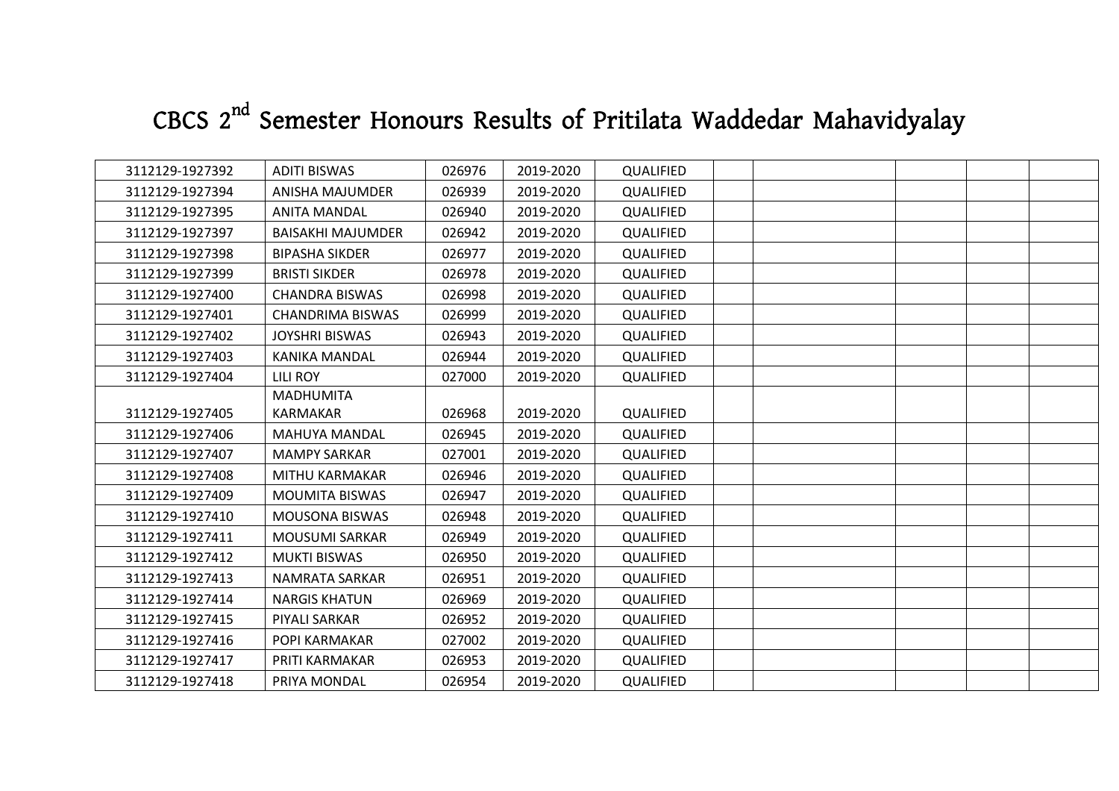## **CBCS 2nd Semester Honours Results of Pritilata Waddedar Mahavidyalay**

| 3112129-1927392 | <b>ADITI BISWAS</b>      | 026976 | 2019-2020 | QUALIFIED        |  |  |  |
|-----------------|--------------------------|--------|-----------|------------------|--|--|--|
| 3112129-1927394 | ANISHA MAJUMDER          | 026939 | 2019-2020 | QUALIFIED        |  |  |  |
| 3112129-1927395 | ANITA MANDAL             | 026940 | 2019-2020 | QUALIFIED        |  |  |  |
| 3112129-1927397 | <b>BAISAKHI MAJUMDER</b> | 026942 | 2019-2020 | QUALIFIED        |  |  |  |
| 3112129-1927398 | <b>BIPASHA SIKDER</b>    | 026977 | 2019-2020 | QUALIFIED        |  |  |  |
| 3112129-1927399 | <b>BRISTI SIKDER</b>     | 026978 | 2019-2020 | QUALIFIED        |  |  |  |
| 3112129-1927400 | <b>CHANDRA BISWAS</b>    | 026998 | 2019-2020 | <b>QUALIFIED</b> |  |  |  |
| 3112129-1927401 | <b>CHANDRIMA BISWAS</b>  | 026999 | 2019-2020 | QUALIFIED        |  |  |  |
| 3112129-1927402 | <b>JOYSHRI BISWAS</b>    | 026943 | 2019-2020 | QUALIFIED        |  |  |  |
| 3112129-1927403 | <b>KANIKA MANDAL</b>     | 026944 | 2019-2020 | QUALIFIED        |  |  |  |
| 3112129-1927404 | LILI ROY                 | 027000 | 2019-2020 | <b>QUALIFIED</b> |  |  |  |
|                 | <b>MADHUMITA</b>         |        |           |                  |  |  |  |
| 3112129-1927405 | <b>KARMAKAR</b>          | 026968 | 2019-2020 | QUALIFIED        |  |  |  |
| 3112129-1927406 | MAHUYA MANDAL            | 026945 | 2019-2020 | QUALIFIED        |  |  |  |
| 3112129-1927407 | <b>MAMPY SARKAR</b>      | 027001 | 2019-2020 | QUALIFIED        |  |  |  |
| 3112129-1927408 | MITHU KARMAKAR           | 026946 | 2019-2020 | QUALIFIED        |  |  |  |
| 3112129-1927409 | <b>MOUMITA BISWAS</b>    | 026947 | 2019-2020 | QUALIFIED        |  |  |  |
| 3112129-1927410 | <b>MOUSONA BISWAS</b>    | 026948 | 2019-2020 | QUALIFIED        |  |  |  |
| 3112129-1927411 | <b>MOUSUMI SARKAR</b>    | 026949 | 2019-2020 | QUALIFIED        |  |  |  |
| 3112129-1927412 | <b>MUKTI BISWAS</b>      | 026950 | 2019-2020 | QUALIFIED        |  |  |  |
| 3112129-1927413 | NAMRATA SARKAR           | 026951 | 2019-2020 | QUALIFIED        |  |  |  |
| 3112129-1927414 | <b>NARGIS KHATUN</b>     | 026969 | 2019-2020 | <b>QUALIFIED</b> |  |  |  |
| 3112129-1927415 | PIYALI SARKAR            | 026952 | 2019-2020 | <b>QUALIFIED</b> |  |  |  |
| 3112129-1927416 | POPI KARMAKAR            | 027002 | 2019-2020 | QUALIFIED        |  |  |  |
| 3112129-1927417 | PRITI KARMAKAR           | 026953 | 2019-2020 | QUALIFIED        |  |  |  |
| 3112129-1927418 | PRIYA MONDAL             | 026954 | 2019-2020 | QUALIFIED        |  |  |  |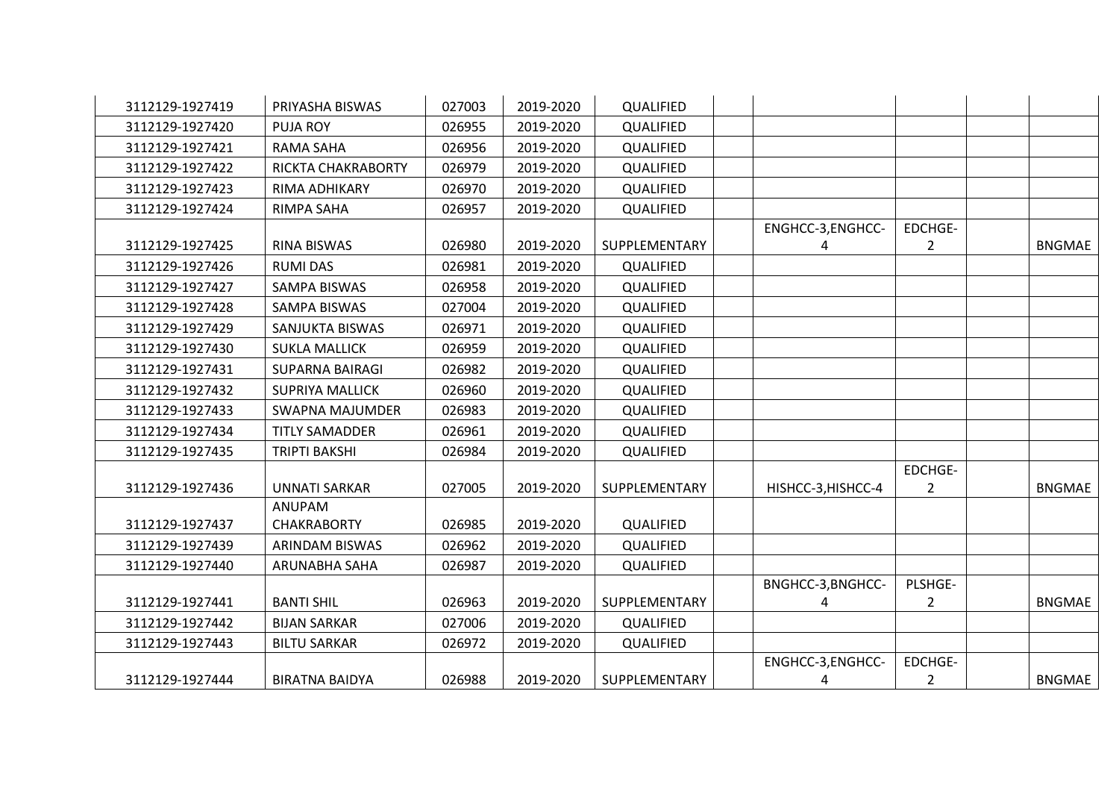| 3112129-1927419 | PRIYASHA BISWAS        | 027003 | 2019-2020 | QUALIFIED        |                        |                           |               |
|-----------------|------------------------|--------|-----------|------------------|------------------------|---------------------------|---------------|
| 3112129-1927420 | <b>PUJA ROY</b>        | 026955 | 2019-2020 | QUALIFIED        |                        |                           |               |
| 3112129-1927421 | <b>RAMA SAHA</b>       | 026956 | 2019-2020 | QUALIFIED        |                        |                           |               |
| 3112129-1927422 | RICKTA CHAKRABORTY     | 026979 | 2019-2020 | QUALIFIED        |                        |                           |               |
| 3112129-1927423 | RIMA ADHIKARY          | 026970 | 2019-2020 | <b>QUALIFIED</b> |                        |                           |               |
| 3112129-1927424 | RIMPA SAHA             | 026957 | 2019-2020 | <b>QUALIFIED</b> |                        |                           |               |
| 3112129-1927425 | <b>RINA BISWAS</b>     | 026980 | 2019-2020 | SUPPLEMENTARY    | ENGHCC-3, ENGHCC-<br>4 | EDCHGE-<br>$\overline{2}$ | <b>BNGMAE</b> |
| 3112129-1927426 | <b>RUMI DAS</b>        | 026981 | 2019-2020 | QUALIFIED        |                        |                           |               |
| 3112129-1927427 | SAMPA BISWAS           | 026958 | 2019-2020 | <b>QUALIFIED</b> |                        |                           |               |
| 3112129-1927428 | <b>SAMPA BISWAS</b>    | 027004 | 2019-2020 | QUALIFIED        |                        |                           |               |
| 3112129-1927429 | SANJUKTA BISWAS        | 026971 | 2019-2020 | QUALIFIED        |                        |                           |               |
| 3112129-1927430 | <b>SUKLA MALLICK</b>   | 026959 | 2019-2020 | QUALIFIED        |                        |                           |               |
| 3112129-1927431 | <b>SUPARNA BAIRAGI</b> | 026982 | 2019-2020 | QUALIFIED        |                        |                           |               |
| 3112129-1927432 | <b>SUPRIYA MALLICK</b> | 026960 | 2019-2020 | QUALIFIED        |                        |                           |               |
| 3112129-1927433 | <b>SWAPNA MAJUMDER</b> | 026983 | 2019-2020 | QUALIFIED        |                        |                           |               |
| 3112129-1927434 | <b>TITLY SAMADDER</b>  | 026961 | 2019-2020 | QUALIFIED        |                        |                           |               |
| 3112129-1927435 | <b>TRIPTI BAKSHI</b>   | 026984 | 2019-2020 | <b>QUALIFIED</b> |                        |                           |               |
| 3112129-1927436 | <b>UNNATI SARKAR</b>   | 027005 | 2019-2020 | SUPPLEMENTARY    | HISHCC-3, HISHCC-4     | EDCHGE-<br>$\overline{2}$ | <b>BNGMAE</b> |
|                 | <b>ANUPAM</b>          |        |           |                  |                        |                           |               |
| 3112129-1927437 | <b>CHAKRABORTY</b>     | 026985 | 2019-2020 | QUALIFIED        |                        |                           |               |
| 3112129-1927439 | ARINDAM BISWAS         | 026962 | 2019-2020 | QUALIFIED        |                        |                           |               |
| 3112129-1927440 | ARUNABHA SAHA          | 026987 | 2019-2020 | <b>QUALIFIED</b> |                        |                           |               |
| 3112129-1927441 | <b>BANTI SHIL</b>      | 026963 | 2019-2020 | SUPPLEMENTARY    | BNGHCC-3, BNGHCC-<br>4 | PLSHGE-<br>$\overline{2}$ | <b>BNGMAE</b> |
| 3112129-1927442 | <b>BIJAN SARKAR</b>    | 027006 | 2019-2020 | <b>QUALIFIED</b> |                        |                           |               |
| 3112129-1927443 | <b>BILTU SARKAR</b>    | 026972 | 2019-2020 | QUALIFIED        |                        |                           |               |
| 3112129-1927444 | <b>BIRATNA BAIDYA</b>  | 026988 | 2019-2020 | SUPPLEMENTARY    | ENGHCC-3, ENGHCC-<br>4 | EDCHGE-<br>$\overline{2}$ | BNGMAE        |
|                 |                        |        |           |                  |                        |                           |               |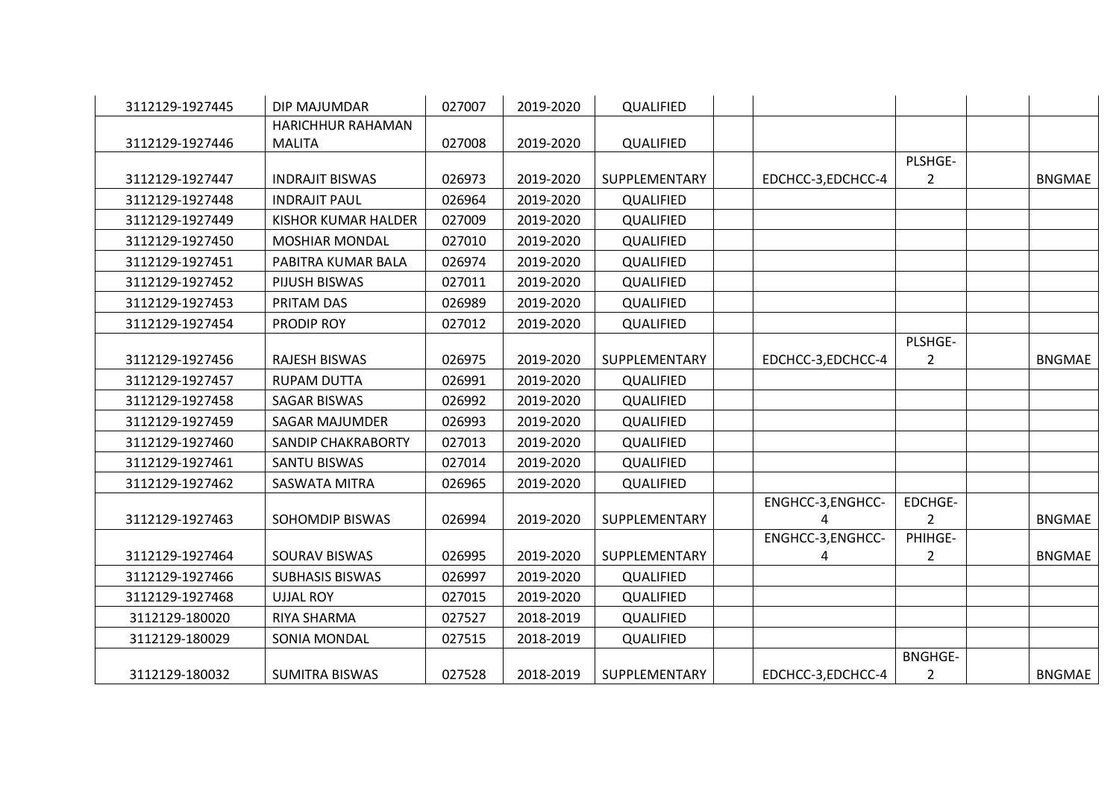| 3112129-1927445 | DIP MAJUMDAR              | 027007 | 2019-2020 | QUALIFIED        |                   |                |               |
|-----------------|---------------------------|--------|-----------|------------------|-------------------|----------------|---------------|
|                 | HARICHHUR RAHAMAN         |        |           |                  |                   |                |               |
| 3112129-1927446 | <b>MALITA</b>             | 027008 | 2019-2020 | QUALIFIED        |                   |                |               |
|                 |                           |        |           |                  |                   | PLSHGE-        |               |
| 3112129-1927447 | <b>INDRAJIT BISWAS</b>    | 026973 | 2019-2020 | SUPPLEMENTARY    | EDCHCC-3,EDCHCC-4 | $\overline{2}$ | <b>BNGMAE</b> |
| 3112129-1927448 | <b>INDRAJIT PAUL</b>      | 026964 | 2019-2020 | QUALIFIED        |                   |                |               |
| 3112129-1927449 | KISHOR KUMAR HALDER       | 027009 | 2019-2020 | <b>QUALIFIED</b> |                   |                |               |
| 3112129-1927450 | <b>MOSHIAR MONDAL</b>     | 027010 | 2019-2020 | QUALIFIED        |                   |                |               |
| 3112129-1927451 | PABITRA KUMAR BALA        | 026974 | 2019-2020 | QUALIFIED        |                   |                |               |
| 3112129-1927452 | PIJUSH BISWAS             | 027011 | 2019-2020 | QUALIFIED        |                   |                |               |
| 3112129-1927453 | PRITAM DAS                | 026989 | 2019-2020 | QUALIFIED        |                   |                |               |
| 3112129-1927454 | PRODIP ROY                | 027012 | 2019-2020 | QUALIFIED        |                   |                |               |
|                 |                           |        |           |                  |                   | PLSHGE-        |               |
| 3112129-1927456 | RAJESH BISWAS             | 026975 | 2019-2020 | SUPPLEMENTARY    | EDCHCC-3,EDCHCC-4 | $\overline{2}$ | <b>BNGMAE</b> |
| 3112129-1927457 | <b>RUPAM DUTTA</b>        | 026991 | 2019-2020 | QUALIFIED        |                   |                |               |
| 3112129-1927458 | <b>SAGAR BISWAS</b>       | 026992 | 2019-2020 | QUALIFIED        |                   |                |               |
| 3112129-1927459 | <b>SAGAR MAJUMDER</b>     | 026993 | 2019-2020 | QUALIFIED        |                   |                |               |
| 3112129-1927460 | <b>SANDIP CHAKRABORTY</b> | 027013 | 2019-2020 | QUALIFIED        |                   |                |               |
| 3112129-1927461 | <b>SANTU BISWAS</b>       | 027014 | 2019-2020 | QUALIFIED        |                   |                |               |
| 3112129-1927462 | <b>SASWATA MITRA</b>      | 026965 | 2019-2020 | <b>QUALIFIED</b> |                   |                |               |
|                 |                           |        |           |                  | ENGHCC-3, ENGHCC- | EDCHGE-        |               |
| 3112129-1927463 | <b>SOHOMDIP BISWAS</b>    | 026994 | 2019-2020 | SUPPLEMENTARY    |                   | $\overline{2}$ | <b>BNGMAE</b> |
|                 |                           |        |           |                  | ENGHCC-3, ENGHCC- | PHIHGE-        |               |
| 3112129-1927464 | <b>SOURAV BISWAS</b>      | 026995 | 2019-2020 | SUPPLEMENTARY    | 4                 | $\overline{2}$ | <b>BNGMAE</b> |
| 3112129-1927466 | <b>SUBHASIS BISWAS</b>    | 026997 | 2019-2020 | QUALIFIED        |                   |                |               |
| 3112129-1927468 | <b>UJJAL ROY</b>          | 027015 | 2019-2020 | <b>QUALIFIED</b> |                   |                |               |
| 3112129-180020  | RIYA SHARMA               | 027527 | 2018-2019 | QUALIFIED        |                   |                |               |
| 3112129-180029  | <b>SONIA MONDAL</b>       | 027515 | 2018-2019 | QUALIFIED        |                   |                |               |
|                 |                           |        |           |                  |                   | <b>BNGHGE-</b> |               |
| 3112129-180032  | <b>SUMITRA BISWAS</b>     | 027528 | 2018-2019 | SUPPLEMENTARY    | EDCHCC-3,EDCHCC-4 | $\overline{2}$ | BNGMAE        |